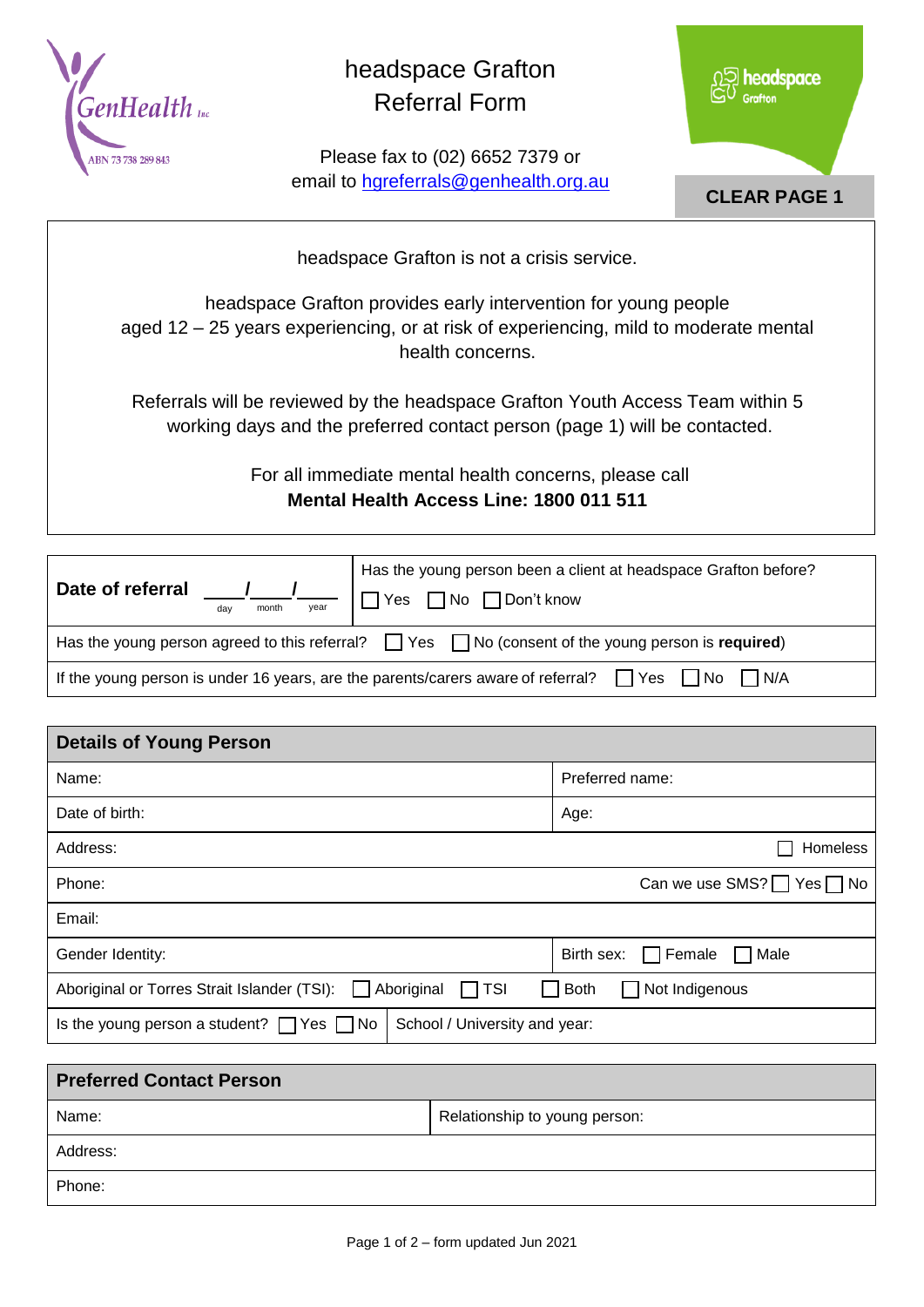

## headspace Grafton Referral Form

Please fax to (02) 6652 7379 or email to [hgreferrals@genhealth.org.au](mailto:hgreferrals@genhealth.org.au)



headspace Grafton is not a crisis service.

headspace Grafton provides early intervention for young people aged 12 – 25 years experiencing, or at risk of experiencing, mild to moderate mental health concerns.

Referrals will be reviewed by the headspace Grafton Youth Access Team within 5 working days and the preferred contact person (page 1) will be contacted.

> For all immediate mental health concerns, please call **Mental Health Access Line: 1800 011 511**

| Date of referral<br>vear<br>month<br>dav                                                                     | Has the young person been a client at headspace Grafton before?<br>Yes □ No □ Don't know |  |  |
|--------------------------------------------------------------------------------------------------------------|------------------------------------------------------------------------------------------|--|--|
| Has the young person agreed to this referral? $\Box$ Yes $\Box$ No (consent of the young person is required) |                                                                                          |  |  |
| If the young person is under 16 years, are the parents/carers aware of referral? $\Box$ Yes<br> No <br>I N/A |                                                                                          |  |  |

| <b>Details of Young Person</b>                                                          |                                     |  |  |  |
|-----------------------------------------------------------------------------------------|-------------------------------------|--|--|--|
| Name:                                                                                   | Preferred name:                     |  |  |  |
| Date of birth:                                                                          | Age:                                |  |  |  |
| Address:                                                                                | <b>Homeless</b>                     |  |  |  |
| Phone:                                                                                  | Can we use SMS?   Yes   No          |  |  |  |
| Email:                                                                                  |                                     |  |  |  |
| Gender Identity:                                                                        | Male<br>Birth sex:<br>$\Box$ Female |  |  |  |
| Aboriginal<br>$\Box$ TSI<br>Aboriginal or Torres Strait Islander (TSI):<br>$\mathbf{1}$ | Both<br>Not Indigenous              |  |  |  |
| School / University and year:<br>Is the young person a student? $\Box$ Yes $\Box$ No    |                                     |  |  |  |

| <b>Preferred Contact Person</b> |                               |
|---------------------------------|-------------------------------|
| Name:                           | Relationship to young person: |
| Address:                        |                               |
| Phone:                          |                               |